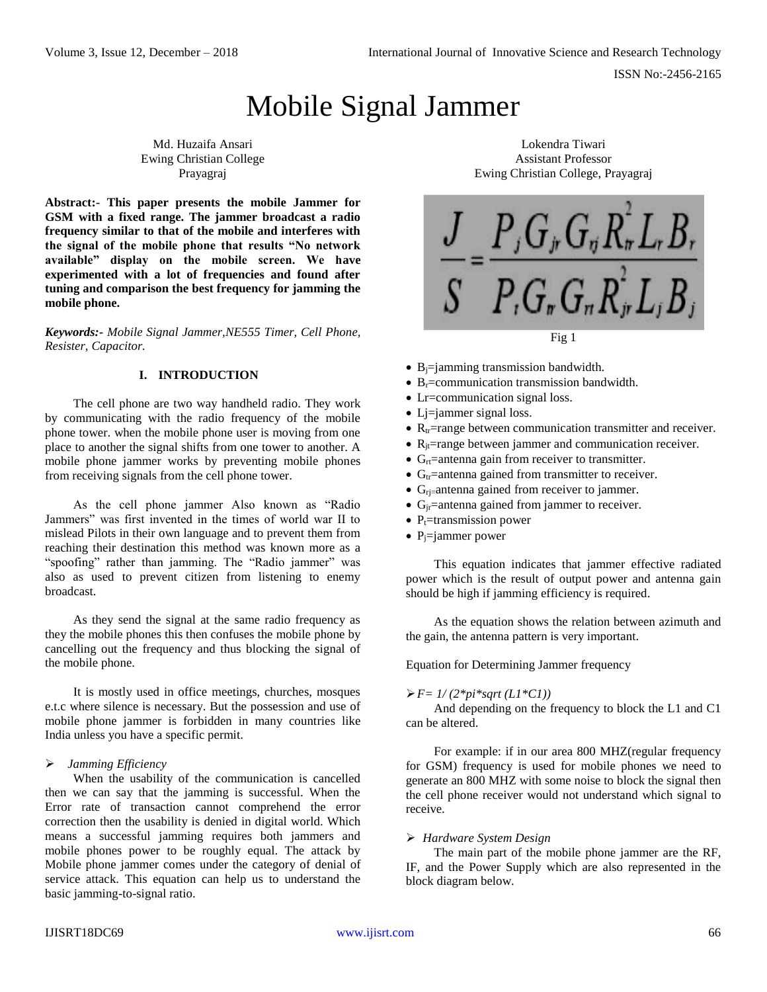# Mobile Signal Jammer

Md. Huzaifa Ansari Ewing Christian College Prayagraj

**Abstract:- This paper presents the mobile Jammer for GSM with a fixed range. The jammer broadcast a radio frequency similar to that of the mobile and interferes with the signal of the mobile phone that results "No network available" display on the mobile screen. We have experimented with a lot of frequencies and found after tuning and comparison the best frequency for jamming the mobile phone.**

*Keywords:- Mobile Signal Jammer,NE555 Timer, Cell Phone, Resister, Capacitor.*

## **I. INTRODUCTION**

The cell phone are two way handheld radio. They work by communicating with the radio frequency of the mobile phone tower. when the mobile phone user is moving from one place to another the signal shifts from one tower to another. A mobile phone jammer works by preventing mobile phones from receiving signals from the cell phone tower.

As the cell phone jammer Also known as "Radio Jammers" was first invented in the times of world war II to mislead Pilots in their own language and to prevent them from reaching their destination this method was known more as a "spoofing" rather than jamming. The "Radio jammer" was also as used to prevent citizen from listening to enemy broadcast.

As they send the signal at the same radio frequency as they the mobile phones this then confuses the mobile phone by cancelling out the frequency and thus blocking the signal of the mobile phone.

It is mostly used in office meetings, churches, mosques e.t.c where silence is necessary. But the possession and use of mobile phone jammer is forbidden in many countries like India unless you have a specific permit.

## *Jamming Efficiency*

When the usability of the communication is cancelled then we can say that the jamming is successful. When the Error rate of transaction cannot comprehend the error correction then the usability is denied in digital world. Which means a successful jamming requires both jammers and mobile phones power to be roughly equal. The attack by Mobile phone jammer comes under the category of denial of service attack. This equation can help us to understand the basic jamming-to-signal ratio.

Lokendra Tiwari Assistant Professor Ewing Christian College, Prayagraj



- $\bullet$  B<sub>i</sub> $=$ jamming transmission bandwidth.
- $\bullet$  B<sub>r</sub>=communication transmission bandwidth.
- Let communication signal loss.
- Lj=jammer signal loss.
- $R_t$ =range between communication transmitter and receiver.
- $R_{it}$ =range between jammer and communication receiver.
- $G<sub>rt</sub>$ =antenna gain from receiver to transmitter.
- $G<sub>tr</sub>$ =antenna gained from transmitter to receiver.
- $\bullet$  G<sub>rj=</sub>antenna gained from receiver to jammer.
- $\bullet$  G<sub>ir</sub>=antenna gained from jammer to receiver.
- $P_t$ =transmission power
- $\bullet$  P<sub>i</sub>=jammer power

This equation indicates that jammer effective radiated power which is the result of output power and antenna gain should be high if jamming efficiency is required.

As the equation shows the relation between azimuth and the gain, the antenna pattern is very important.

Equation for Determining Jammer frequency

## $\triangleright F = 1/(2*pi*sqrt(L1*C1))$

And depending on the frequency to block the L1 and C1 can be altered.

For example: if in our area 800 MHZ(regular frequency for GSM) frequency is used for mobile phones we need to generate an 800 MHZ with some noise to block the signal then the cell phone receiver would not understand which signal to receive.

## *Hardware System Design*

The main part of the mobile phone jammer are the RF, IF, and the Power Supply which are also represented in the block diagram below.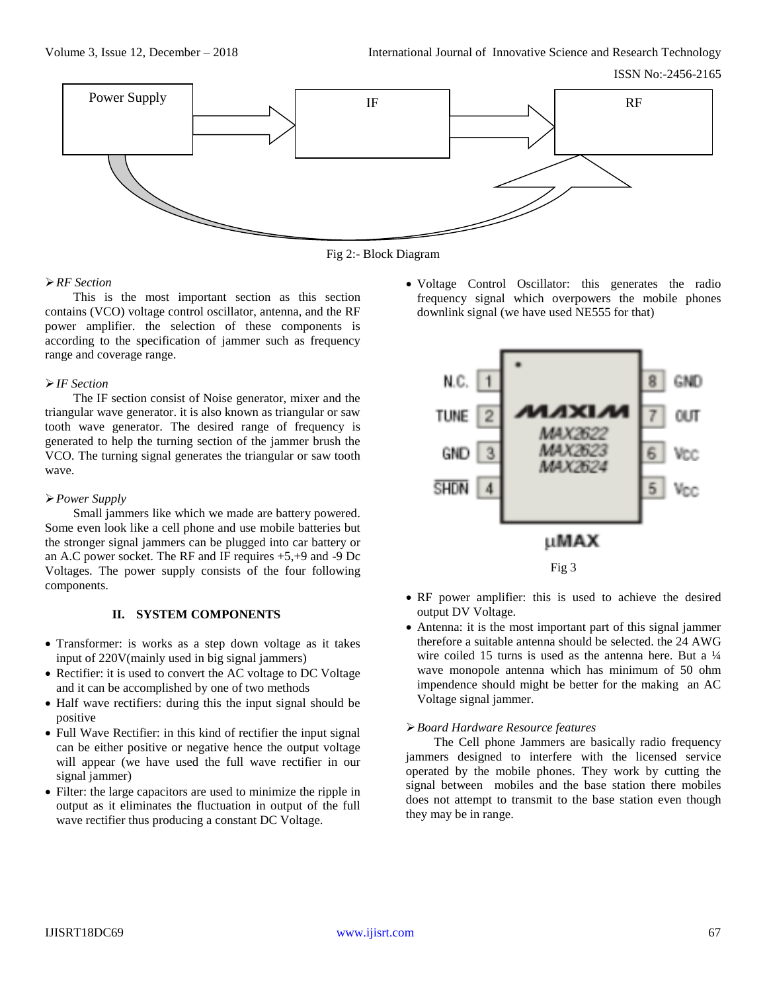

Fig 2:- Block Diagram

## *RF Section*

This is the most important section as this section contains (VCO) voltage control oscillator, antenna, and the RF power amplifier. the selection of these components is according to the specification of jammer such as frequency range and coverage range.

## *IF Section*

The IF section consist of Noise generator, mixer and the triangular wave generator. it is also known as triangular or saw tooth wave generator. The desired range of frequency is generated to help the turning section of the jammer brush the VCO. The turning signal generates the triangular or saw tooth wave.

## *Power Supply*

Small jammers like which we made are battery powered. Some even look like a cell phone and use mobile batteries but the stronger signal jammers can be plugged into car battery or an A.C power socket. The RF and IF requires +5,+9 and -9 Dc Voltages. The power supply consists of the four following components.

# **II. SYSTEM COMPONENTS**

- Transformer: is works as a step down voltage as it takes input of 220V(mainly used in big signal jammers)
- Rectifier: it is used to convert the AC voltage to DC Voltage and it can be accomplished by one of two methods
- Half wave rectifiers: during this the input signal should be positive
- Full Wave Rectifier: in this kind of rectifier the input signal can be either positive or negative hence the output voltage will appear (we have used the full wave rectifier in our signal jammer)
- Filter: the large capacitors are used to minimize the ripple in output as it eliminates the fluctuation in output of the full wave rectifier thus producing a constant DC Voltage.

 Voltage Control Oscillator: this generates the radio frequency signal which overpowers the mobile phones downlink signal (we have used NE555 for that)



- RF power amplifier: this is used to achieve the desired output DV Voltage.
- Antenna: it is the most important part of this signal jammer therefore a suitable antenna should be selected. the 24 AWG wire coiled 15 turns is used as the antenna here. But a  $\frac{1}{4}$ wave monopole antenna which has minimum of 50 ohm impendence should might be better for the making an AC Voltage signal jammer.

## *Board Hardware Resource features*

The Cell phone Jammers are basically radio frequency jammers designed to interfere with the licensed service operated by the mobile phones. They work by cutting the signal between mobiles and the base station there mobiles does not attempt to transmit to the base station even though they may be in range.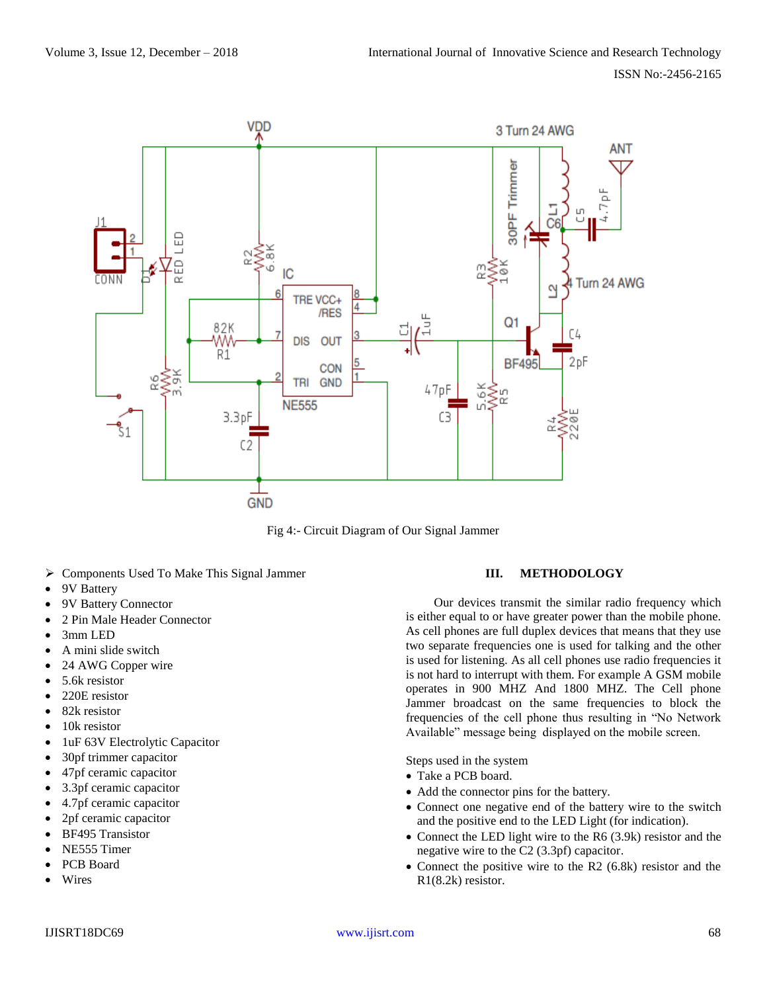

Fig 4:- Circuit Diagram of Our Signal Jammer

- Components Used To Make This Signal Jammer
- 9V Battery
- 9V Battery Connector
- 2 Pin Male Header Connector
- 3mm LED
- A mini slide switch
- 24 AWG Copper wire
- 5.6k resistor
- 220E resistor
- 82k resistor
- 10k resistor
- 1uF 63V Electrolytic Capacitor
- 30pf trimmer capacitor
- 47pf ceramic capacitor
- 3.3pf ceramic capacitor
- 4.7pf ceramic capacitor
- 2pf ceramic capacitor
- BF495 Transistor
- NE555 Timer
- PCB Board
- Wires

# **III. METHODOLOGY**

Our devices transmit the similar radio frequency which is either equal to or have greater power than the mobile phone. As cell phones are full duplex devices that means that they use two separate frequencies one is used for talking and the other is used for listening. As all cell phones use radio frequencies it is not hard to interrupt with them. For example A GSM mobile operates in 900 MHZ And 1800 MHZ. The Cell phone Jammer broadcast on the same frequencies to block the frequencies of the cell phone thus resulting in "No Network Available" message being displayed on the mobile screen.

Steps used in the system

- Take a PCB board.
- Add the connector pins for the battery.
- Connect one negative end of the battery wire to the switch and the positive end to the LED Light (for indication).
- Connect the LED light wire to the R6 (3.9k) resistor and the negative wire to the C2 (3.3pf) capacitor.
- Connect the positive wire to the R2 (6.8k) resistor and the R1(8.2k) resistor.